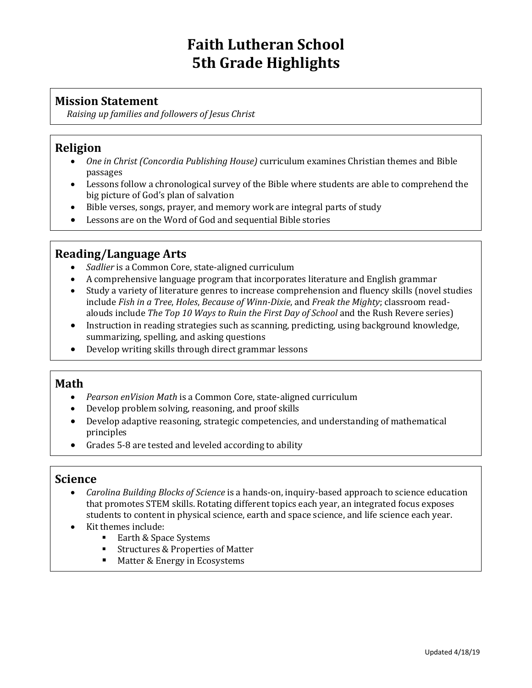# **Faith Lutheran School 5th Grade Highlights**

#### **Mission Statement**

*Raising up families and followers of Jesus Christ*

#### **Religion**

- *One in Christ (Concordia Publishing House)* curriculum examines Christian themes and Bible passages
- Lessons follow a chronological survey of the Bible where students are able to comprehend the big picture of God's plan of salvation
- Bible verses, songs, prayer, and memory work are integral parts of study
- Lessons are on the Word of God and sequential Bible stories

## **Reading/Language Arts**

- *Sadlier* is a Common Core, state-aligned curriculum
- A comprehensive language program that incorporates literature and English grammar
- Study a variety of literature genres to increase comprehension and fluency skills (novel studies include *Fish in a Tree*, *Holes*, *Because of Winn-Dixie*, and *Freak the Mighty*; classroom readalouds include *The Top 10 Ways to Ruin the First Day of School* and the Rush Revere series)
- Instruction in reading strategies such as scanning, predicting, using background knowledge, summarizing, spelling, and asking questions
- Develop writing skills through direct grammar lessons

#### **Math**

- *Pearson enVision Math* is a Common Core, state-aligned curriculum
- Develop problem solving, reasoning, and proof skills
- Develop adaptive reasoning, strategic competencies, and understanding of mathematical principles
- Grades 5-8 are tested and leveled according to ability

#### **Science**

- *Carolina Building Blocks of Science* is a hands-on, inquiry-based approach to science education that promotes STEM skills. Rotating different topics each year, an integrated focus exposes students to content in physical science, earth and space science, and life science each year.
- Kit themes include:
	- Earth & Space Systems
	- Structures & Properties of Matter
	- Matter & Energy in Ecosystems